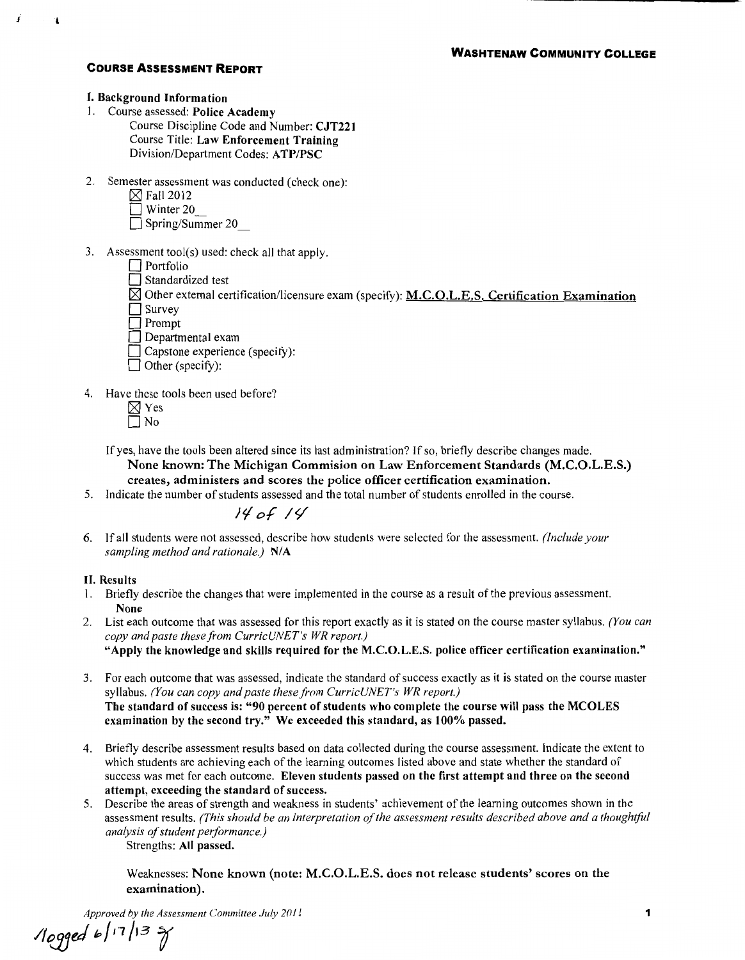#### I. Background Information

1

 $\mathbf{A}$ 

- I. Course assessed: Police Academy
	- Course Discipline Code and Number: CJT221 Course Title: Law Enforcement Training Division/Department Codes: A TP/PSC
- 2. Semester assessment was conducted (check one):
	- $\boxtimes$  Fall 2012
	- $\Box$  Winter 20
	- $\Box$  Spring/Summer 20
- 3. Assessment tool(s) used: check all that apply.
	- $\Box$  Portfolio
	- $\Box$  Standardized test
	- $\boxtimes$  Other external certification/licensure exam (specify): M.C.O.L.E.S. Certification Examination
	- $\Box$  Survey  $\Box$  Prompt
	- $\Box$  Departmental exam
	- $\Box$  Capstone experience (specify):
	- $\Box$  Other (specify):
- 4. Have these tools been used before?
	- $\boxtimes$  Yes  $\Box$  No

If yes, have the tools been altered since its last administration? If so, briefly describe changes made. None known: The Michigan Commision on Law Enforcement Standards (M.C.O.L.E.S.) creates, administers and scores the police officer certification examination.

5. Indicate the number of students assessed and the total number of students enrolled in the course.

# */II o.f* 1</

6. If all students were not assessed, describe how students were selected for the assessment. *(Include your sampling method and rationale.)* **N/A** 

## II. Results

- I. Briefly describe the changes that were implemented in the course as a result of the previous assessment. None
- 2. List each outcome that was assessed for this report exactly as it is stated on the course master syllabus. *(You can copy and paste these from CurricUNET's WR report.)*  "Apply the knowledge and skills required for the M.C.O.L.E.S. police officer certification examination."
- 3. For each outcome that was assessed, indicate the standard of success exactly as it is stated on the course master syllabus. *(You can copy and paste these from CurricUNET's WR report.)*  The standard of success is: "90 percent of students who complete the course will pass the MCOLES examination by the second try." We exceeded this standard, as 100% passed.
- 4. Briefly describe assessment results based on data collected during the course assessment. Indicate the extent to which students are achieving each of the learning outcomes listed above and state whether the standard of success was met for each outcome. Eleven students passed on the first attempt and three on the second attempt, exceeding the standard of success.
- 5. Describe the areas of strength and weakness in students' achievement of the learning outcomes shown in the assessment results. *(This should be an interpretation of the assessment results described above and a thoughtful analysis of student performance.)*  Strengths: All passed.

Weaknesses: None known (note: M.C.O.L.E.S. does not release students' scores on the examination).

*Approved by the Assessment Committee July 2011* 

*/tweJ* fp/11/13 *r*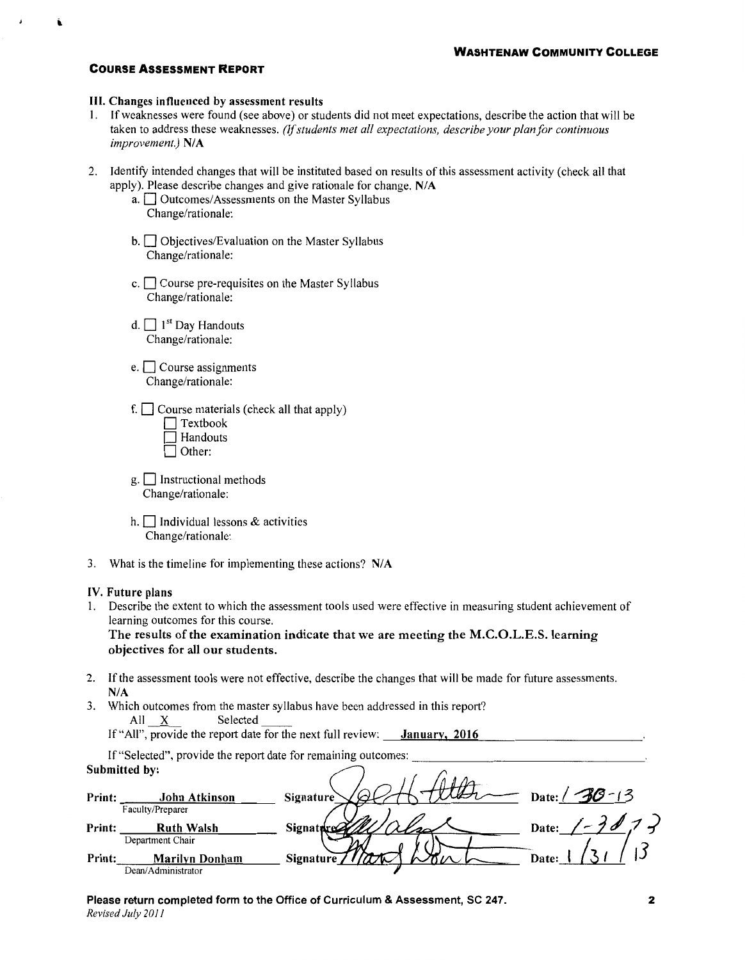### Ill. Changes influenced by assessment results

- 1. If weaknesses were found (see above) or students did not meet expectations, describe the action that will be taken to address these weaknesses. *(If students met all expectations, describe your plan for continuous improvement.) NIA*
- 2. Identity intended changes that will be instituted based on results of this assessment activity (check all that apply). Please describe changes and give rationale for change. N/A
	- a.  $\Box$  Outcomes/Assessments on the Master Syllabus Change/rationale:
	- $b.$   $\Box$  Objectives/Evaluation on the Master Syllabus Change/rationale:
	- c.  $\Box$  Course pre-requisites on the Master Syllabus Change/rationale:
	- d.  $\Box$  1<sup>st</sup> Day Handouts Change/rationale:
	- $e.$   $\Box$  Course assignments Change/rationale:
	- f.  $\Box$  Course materials (check all that apply)

| $\Box$ Textbook |
|-----------------|
| □ Handouts      |
| Other:          |

- $g.$  Instructional methods Change/rationale:
- h.  $\Box$  Individual lessons & activities Change/rationale:
- 3. What is the timeline for implementing these actions? N/A

#### IV. Future plans

1. Describe the extent to which the assessment tools used were effective in measuring student achievement of learning outcomes for this course.

The results of the examination indicate that we are meeting the M.C.O.L.E.S. learning objectives for all our students.

- 2. If the assessment tools were not effective, describe the changes that will be made for future assessments. N/A
- 3. Which outcomes from the master syllabus have been addressed in this report? All \_X~ Selected

If "All", provide the report date for the next full review:  $\frac{January, 2016}{January, 2016}$ 

If "Selected", provide the report date for remaining outcomes: Submitted by:

|        | Submitted by:         |                  |                      |
|--------|-----------------------|------------------|----------------------|
| Print: | John Atkinson         | <b>Signature</b> | $-30 - 13$<br>Date:/ |
|        | Faculty/Preparer      |                  |                      |
| Print: | <b>Ruth Walsh</b>     | Signat           | Date:                |
|        | Department Chair      |                  |                      |
| Print: | <b>Marilyn Donham</b> | Signature        | <b>Date:</b>         |
|        | Dean/Administrator    |                  |                      |

Please return completed form to the Office of Curriculum & Assessment, SC 247. *Revised July 2011*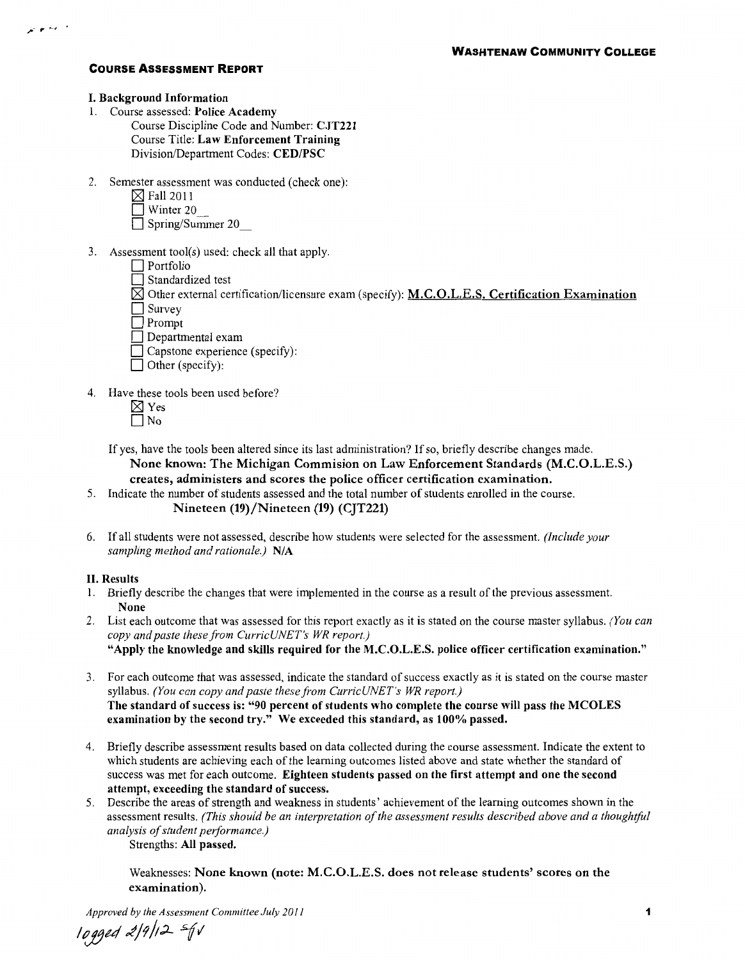#### I. Background Information

- 1. Course assessed: Police Academy
	- Course Discipline Code and Number: CJT221 Course Title: Law Enforcement Training Division/Department Codes: CED/PSC
- 2. Semester assessment was conducted (check one):
	- $\boxtimes$  Fall 2011
	- $\Box$  Winter 20
	- Spring/Summer 20
- 3. Assessment tool(s) used: check all that apply.
	- **D** Portfolio
	- $\Box$  Standardized test
	- $\boxtimes$  Other external certification/licensure exam (specify): M.C.O.L.E.S. Certification Examination
	- □ Survey
	- D Prompt
	- $\Box$  Departmental exam
	- $\Box$  Capstone experience (specify):
	- $\Box$  Other (specify):
- 4. Have these tools been used before?
	- $\boxtimes$  Yes  $\Box$  No
	- If yes, have the tools been altered since its last administration? If so, briefly describe changes made. None known: The Michigan Commision on Law Enforcement Standards (M.C.O.L.E.S.) creates, administers and scores the police officer certification examination.
- 5. Indicate the number of students assessed and the total number of students enrolled in the course. Nineteen (19)/Nineteen (19) (CJT221)
- 6. If all students were not assessed, describe how students were selected for the assessment. *(Include your sampling method and rationale.)* NIA

## II. Results

- 1. Briefly describe the changes that were implemented in the course as a result of the previous assessment. None
- 2. List each outcome that was assessed for this report exactly as it is stated on the course master syllabus. *(You can copy and paste these from CurricUNET's WR report.)*  "Apply the knowledge and skills required for the M.C.O.L.E.S. police officer certification examination."
- 3. For each outcome that was assessed, indicate the standard of success exactly as it is stated on the course master syllabus. *(You can copy and paste these from CurricUNET's WR report.)*  The standard of success is: "90 percent of students who complete the course will pass the MCOLES examination by the second try." We exceeded this standard, as 100% passed.
- 4. Briefly describe assessment results based on data collected during the course assessment. Indicate the extent to which students are achieving each of the learning outcomes listed above and state whether the standard of success was met for each outcome. Eighteen students passed on the first attempt and one the second attempt, exceeding the standard of success.
- 5. Describe the areas of strength and weakness in students' achievement of the learning outcomes shown in the assessment results. *(This should be an interpretation of the assessment results described above and a thoughtful analysis of student performance.)*  Strengths: All passed.

Weaknesses: None known (note: M.C.O.L.E.S. does not release students' scores on the examination).

*Approved by the Assessment Committee July 2011* 

lt(jjul *£j?/;.;L "71*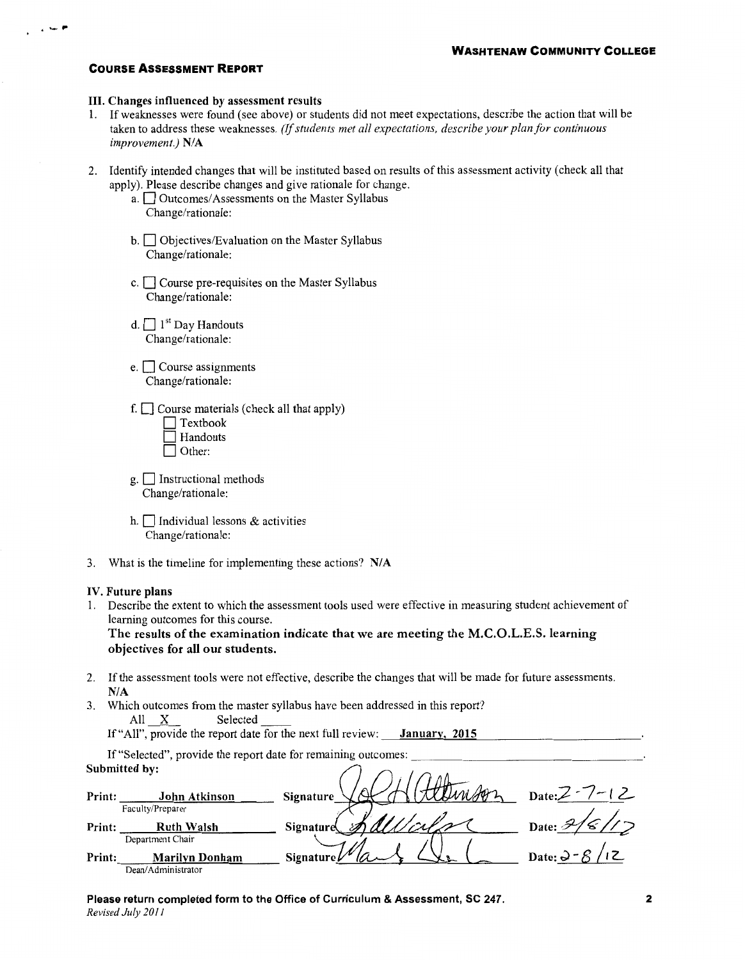$, -$  .

### III. Changes influenced by assessment results

- 1. If weaknesses were found (see above) or students did not meet expectations, describe the action that will be taken to address these weaknesses. *(If students met all expectations, describe your plan for continuous improvement.) NIA*
- 2. Identify intended changes that will be instituted based on results of this assessment activity (check all that apply). Please describe changes and give rationale for change.
	- a.  $\Box$  Outcomes/Assessments on the Master Syllabus Change/rationale:
	- $b.$   $\Box$  Objectives/Evaluation on the Master Syllabus Change/rationale:
	- c.  $\Box$  Course pre-requisites on the Master Syllabus Change/rationale:
	- d.  $\Box$  1<sup>st</sup> Day Handouts Change/rationale:
	- $e.$   $\Box$  Course assignments Change/rationale:
	- f.  $\Box$  Course materials (check all that apply)

| $\Box$ Textbook |
|-----------------|
| l Handouts      |
| Other:          |

- $g.$  Instructional methods Change/rationale:
- h.  $\Box$  Individual lessons & activities Change/rationale:
- 3. What is the timeline for implementing these actions? N/A

### IV. Future plans

1. Describe the extent to which the assessment tools used were effective in measuring student achievement of learning outcomes for this course.

The results of the examination indicate that we are meeting the M.C.O.L.E.S. learning objectives for all our students.

- 2. If the assessment tools were not effective, describe the changes that will be made for future assessments. N/A
- 3. Which outcomes from the master syllabus have been addressed in this report? All X Selected

| All X | Selected |                                                             |               |  |
|-------|----------|-------------------------------------------------------------|---------------|--|
|       |          | If "All", provide the report date for the next full review: | January, 2015 |  |

If "Selected", provide the report date for remaining outcomes: Submitted by:

|        | Submitted by:         |                             |                   |
|--------|-----------------------|-----------------------------|-------------------|
| Print: | John Atkinson         | Mission<br><b>Signature</b> | $Date:Z - 7 - 12$ |
|        | Faculty/Preparer      |                             |                   |
| Print: | <b>Ruth Walsh</b>     | Signature                   | Date:             |
|        | Department Chair      |                             |                   |
| Print: | <b>Marilyn Donham</b> | Signature $\nu$             | Date: $\Im$ -     |
|        | Dean/Administrator    |                             |                   |

Please return completed form to the Office of Curriculum & Assessment, SC 247. *Revised July 2011*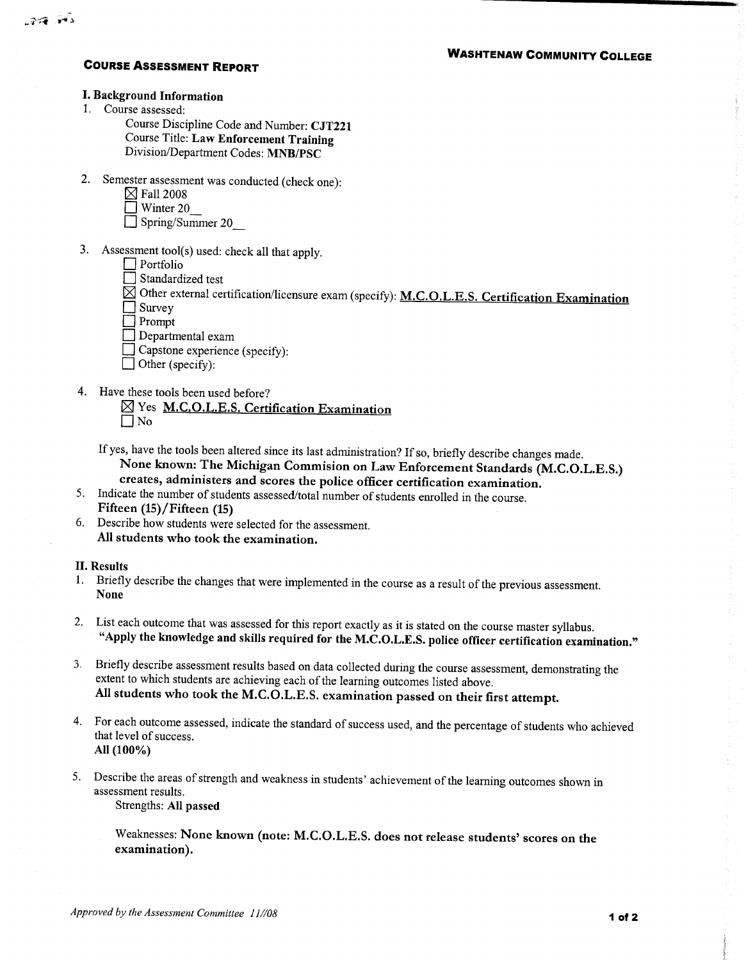## **I. Background Information**

1. Course assessed:

Course Discipline Code and Number: CJT221 Course Title: Law Enforcement Training Division/Department Codes: MNB/PSC

- 2. Semester assessment was conducted (check one):
	- $\boxtimes$  Fall 2008
	- Winter 20
	- $\Box$  Spring/Summer 20
- 3. Assessment tool(s) used: check all that apply.
	- $\Box$  Portfolio
	- Standardized test
	- $\overline{\boxtimes}$  Other external certification/licensure exam (specify): M.C.O.L.E.S. Certification Examination
	- $\begin{array}{c}\n\Box \text{ Survey} \\
	\Box \text{ prompt}\n\end{array}$
	- $\Box$  Departmental exam
	- Capstone experience (specify):
	- $\Box$  Other (specify):
- 4. Have these tools been used before?
	- ⊠ Yes M.C.O.L.E.S. Certification Examination  $\Box$  No
	- If yes, have the tools been altered since its last administration? If so, briefly describe changes made. None known: The Michigan Commision on Law Enforcement Standards (M.C.O.L.E.S.) creates, administers and scores the police officer certification examination.
- 5. Indicate the number of students assessed/total number of students enrolled in the course. Fifteen (15)/Fifteen (15)
- 6. Describe how students were selected for the assessment. All students who took the examination.

## **II. Results**

- 1. Briefly describe the changes that were implemented in the course as a result of the previous assessment. **None**
- 2. List each outcome that was assessed for this report exactly as it is stated on the course master syllabus. "Apply the knowledge and skills required for the M.C.O.L.E.S. police officer certification examination."
- 3. Briefly describe assessment results based on data collected during the course assessment, demonstrating the extent to which students are achieving each of the learning outcomes listed above. All students who took the M.C.O.L.E.S. examination passed on their first attempt.
- 4. For each outcome assessed, indicate the standard of success used, and the percentage of students who achieved that level of success. All (100%)
- 5. Describe the areas of strength and weakness in students' achievement of the learning outcomes shown in assessment results. Strengths: All passed
	- Weaknesses: None known (note: M.C.O.L.E.S. does not release students' scores on the examination).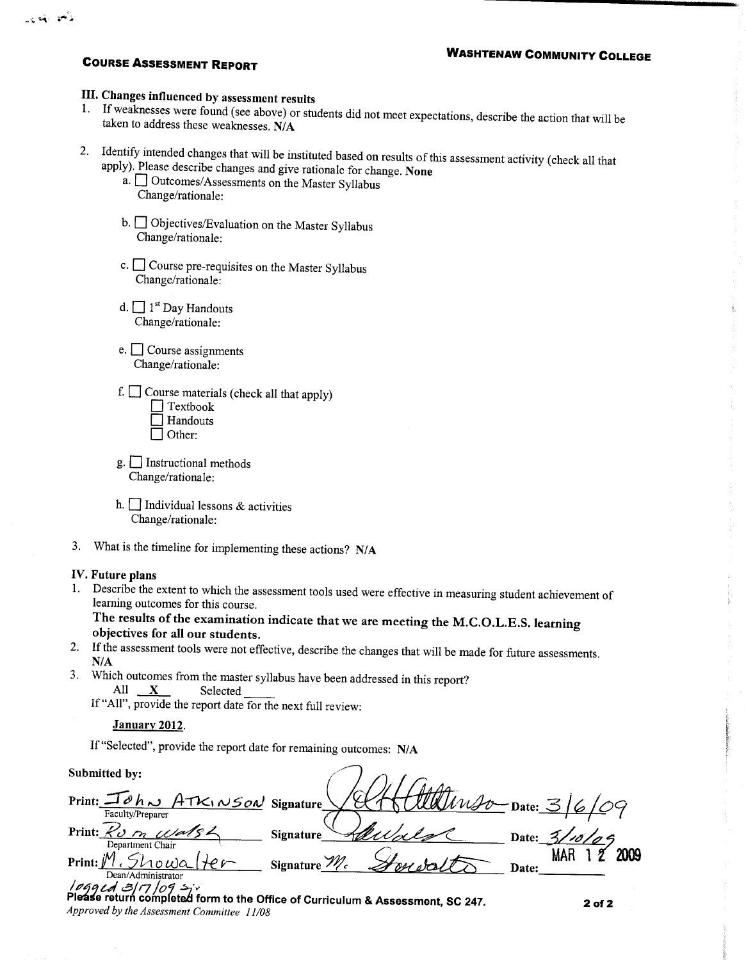এছ পৰী লাগি

## III. Changes influenced by assessment results

- 1. If weaknesses were found (see above) or students did not meet expectations, describe the action that will be taken to address these weaknesses. N/A
- 2. Identify intended changes that will be instituted based on results of this assessment activity (check all that apply). Please describe changes and give rationale for change. None
	- a. <sup>Outcomes/Assessments on the Master Syllabus</sub></sup> Change/rationale:
	- b. Objectives/Evaluation on the Master Syllabus Change/rationale:
	- c. Course pre-requisites on the Master Syllabus Change/rationale:
	- d.  $\Box$  1<sup>st</sup> Day Handouts Change/rationale:
	- e.  $\Box$  Course assignments Change/rationale:
	- f.  $\Box$  Course materials (check all that apply)  $\Box$  Textbook
		- Handouts
		- $\Box$  Other:
	- $g.$  Instructional methods Change/rationale:
	- h.  $\Box$  Individual lessons & activities Change/rationale:
- 3. What is the timeline for implementing these actions?  $N/A$

## IV. Future plans

1. Describe the extent to which the assessment tools used were effective in measuring student achievement of learning outcomes for this course.

The results of the examination indicate that we are meeting the M.C.O.L.E.S. learning objectives for all our students.

- 2. If the assessment tools were not effective, describe the changes that will be made for future assessments.  $N/A$
- 3. Which outcomes from the master syllabus have been addressed in this report? All  $\mathbf{X}$ Selected

If "All", provide the report date for the next full review:

## January 2012.

Approved by the Assessment Committee 11/08

If "Selected", provide the report date for remaining outcomes: N/A

Submitted by:

Print:  $\Box$  م ۸ م ATK NSON Signature  $\mathsf{\_}$ Date:  $\mathsf{\leq}/$ Faculty/Preparer Print: Kom Wal **Signature** Date:  $\leq$ Department Chair  $Showa$  $He$ Signature  $\mathcal{W}_c$ Print: // Date: Dean/Administrator  $log q$ ed 3/17/09 s Please return completed form to the Office of Curriculum & Assessment, SC 247.  $2$  of  $2$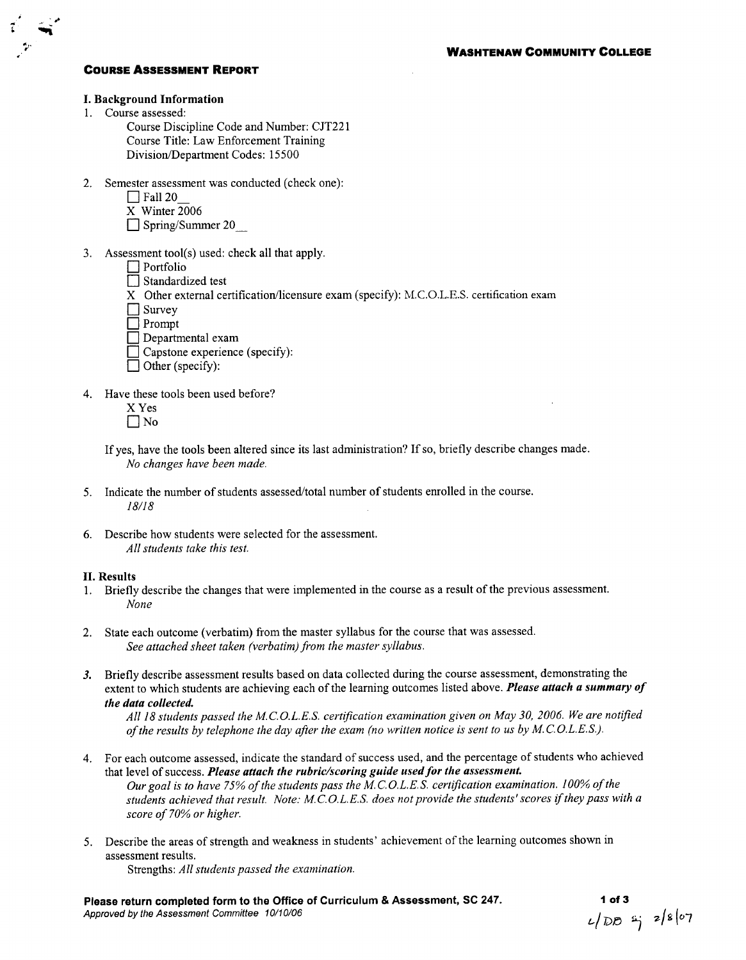

## I. Background Information

1. Course assessed:

Course Discipline Code and Number: CJT221 Course Title: Law Enforcement Training Division/Department Codes: 15500

- 2. Semester assessment was conducted (check one):
	- $\Box$  Fall 20
	- X Winter 2006
	- $\Box$  Spring/Summer 20
- 3. Assessment tool(s) used: check all that apply.
	- $\Box$  Portfolio
	- □ Standardized test
	- X Other external certification/licensure exam (specify): M.C.O.L.E.S. certification exam

 $\Box$  Survey

 $\Box$  Prompt

- $\Box$  Departmental exam
- $\Box$  Capstone experience (specify):
- $\Box$  Other (specify):
- 4. Have these tools been used before?
	- X Yes  $\Box$  No
	- If yes, have the tools been altered since its last administration? If so, briefly describe changes made. No changes have been made.
- 5. Indicate the number of students assessed/total number of students enrolled in the course.  $18/18$
- 6. Describe how students were selected for the assessment. All students take this test.

### **II. Results**

- 1. Briefly describe the changes that were implemented in the course as a result of the previous assessment. None
- 2. State each outcome (verbatim) from the master syllabus for the course that was assessed. See attached sheet taken (verbatim) from the master syllabus.
- 3. Briefly describe assessment results based on data collected during the course assessment, demonstrating the extent to which students are achieving each of the learning outcomes listed above. Please attach a summary of the data collected.

All 18 students passed the M.C.O.L.E.S. certification examination given on May 30, 2006. We are notified of the results by telephone the day after the exam (no written notice is sent to us by M.C.O.L.E.S.).

- For each outcome assessed, indicate the standard of success used, and the percentage of students who achieved  $\overline{4}$ that level of success. Please attach the rubric/scoring guide used for the assessment. Our goal is to have 75% of the students pass the M.C.O.L.E.S. certification examination. 100% of the students achieved that result. Note: M.C.O.L.E.S. does not provide the students' scores if they pass with a score of 70% or higher.
- 5. Describe the areas of strength and weakness in students' achievement of the learning outcomes shown in assessment results. Strengths: All students passed the examination.

Please return completed form to the Office of Curriculum & Assessment, SC 247. Approved by the Assessment Committee 10/10/06

1 of 3<br> $L/DD = \frac{1}{7}$  2/8/07